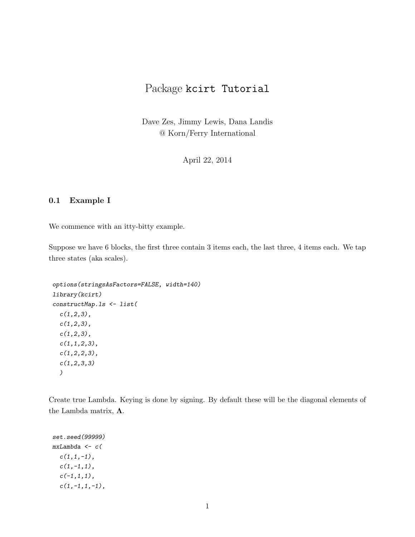# Package kcirt Tutorial

Dave Zes, Jimmy Lewis, Dana Landis @ Korn/Ferry International

April 22, 2014

## 0.1 Example I

We commence with an itty-bitty example.

Suppose we have 6 blocks, the first three contain 3 items each, the last three, 4 items each. We tap three states (aka scales).

```
options(stringsAsFactors=FALSE, width=140)
library(kcirt)
constructMap.ls <- list(
 c(1,2,3),
 c(1,2,3),
 c(1,2,3),
 c(1,1,2,3),
 c(1,2,2,3),
 c(1,2,3,3))
```
Create true Lambda. Keying is done by signing. By default these will be the diagonal elements of the Lambda matrix, Λ.

```
set.seed(99999)
mxLambda < -c (
  c(1,1,-1),
  c(1,-1,1),
  c(-1,1,1),
  c(1,-1,1,-1),
```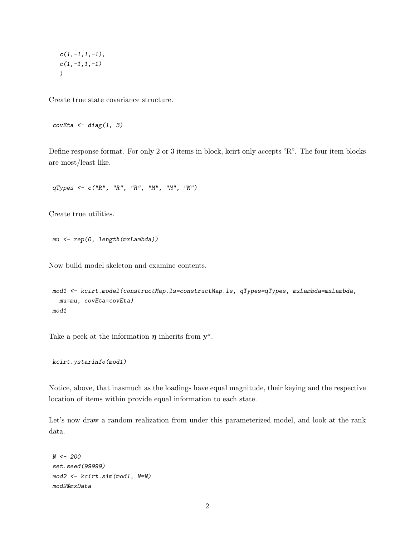$c(1,-1,1,-1)$ ,  $c(1,-1,1,-1)$ )

Create true state covariance structure.

 $covEt_a \leftarrow diag(1, 3)$ 

Define response format. For only 2 or 3 items in block, kcirt only accepts "R". The four item blocks are most/least like.

qTypes <- c("R", "R", "R", "M", "M", "M")

Create true utilities.

```
mu <- rep(0, length(mxLambda))
```
Now build model skeleton and examine contents.

```
mod1 <- kcirt.model(constructMap.ls=constructMap.ls, qTypes=qTypes, mxLambda=mxLambda,
  mu=mu, covEta=covEta)
mod1
```
Take a peek at the information  $\eta$  inherits from  $y^*$ .

```
kcirt.ystarinfo(mod1)
```
Notice, above, that inasmuch as the loadings have equal magnitude, their keying and the respective location of items within provide equal information to each state.

Let's now draw a random realization from under this parameterized model, and look at the rank data.

```
N < -200set.seed(99999)
mod2 <- kcirt.sim(mod1, N=N)
mod2$mxData
```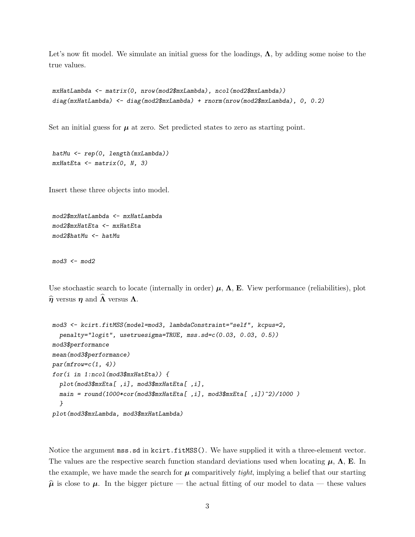Let's now fit model. We simulate an initial guess for the loadings,  $\Lambda$ , by adding some noise to the true values.

```
mxHatLambda <- matrix(0, nrow(mod2$mxLambda), ncol(mod2$mxLambda))
diag(mxHatLambda) <- diag(mod2$mxLambda) + rnorm(nrow(mod2$mxLambda), 0, 0.2)
```
Set an initial guess for  $\mu$  at zero. Set predicted states to zero as starting point.

```
hatMu \leftarrow \text{rep}(0, \text{length}(\text{mxLambda}))mxH at Eta \leftarrow matrix(0, N, 3)
```
Insert these three objects into model.

```
mod2$mxHatLambda <- mxHatLambda
mod2$mxHatEta <- mxHatEta
mod2$hatMu <- hatMu
```
 $mod3$  <-  $mod2$ 

Use stochastic search to locate (internally in order)  $\mu$ ,  $\Lambda$ , E. View performance (reliabilities), plot  $\hat{\eta}$  versus  $\eta$  and  $\hat{\Lambda}$  versus  $\Lambda$ .

```
mod3 <- kcirt.fitMSS(model=mod3, lambdaConstraint="self", kcpus=2,
  penalty="logit", usetruesigma=TRUE, mss.sd=c(0.03, 0.03, 0.5))
mod3$performance
mean(mod3$performance)
par(mfrow=c(1, 4))for(i in 1:ncol(mod3$mxHatEta)) {
  plot(mod3$mxEta[,i], mod3$mxHatEta[,i],
  main = round(1000*cor(mod3$mxHatEta[, i], mod3$mxEtaf[, i]/2)/1000)
  }
plot(mod3$mxLambda, mod3$mxHatLambda)
```
Notice the argument mss.sd in kcirt.fitMSS(). We have supplied it with a three-element vector. The values are the respective search function standard deviations used when locating  $\mu$ ,  $\Lambda$ , E. In the example, we have made the search for  $\mu$  comparitively tight, implying a belief that our starting  $\hat{\mu}$  is close to  $\mu$ . In the bigger picture — the actual fitting of our model to data — these values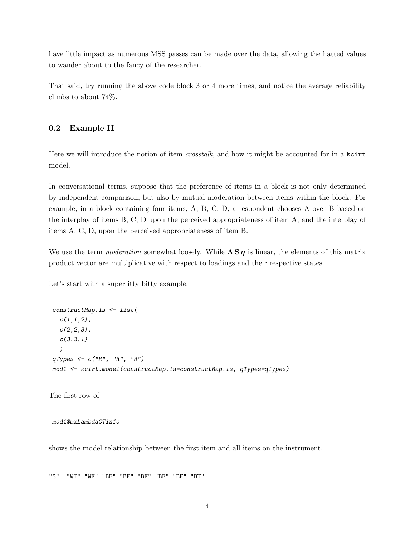have little impact as numerous MSS passes can be made over the data, allowing the hatted values to wander about to the fancy of the researcher.

That said, try running the above code block 3 or 4 more times, and notice the average reliability climbs to about 74%.

### 0.2 Example II

Here we will introduce the notion of item *crosstalk*, and how it might be accounted for in a kcirt model.

In conversational terms, suppose that the preference of items in a block is not only determined by independent comparison, but also by mutual moderation between items within the block. For example, in a block containing four items, A, B, C, D, a respondent chooses A over B based on the interplay of items B, C, D upon the perceived appropriateness of item A, and the interplay of items A, C, D, upon the perceived appropriateness of item B.

We use the term moderation somewhat loosely. While  $\Lambda S \eta$  is linear, the elements of this matrix product vector are multiplicative with respect to loadings and their respective states.

Let's start with a super itty bitty example.

```
constructMap.ls <- list(
  c(1,1,2),
  c(2,2,3),
  c(3,3,1))
qTypes \leftarrow c("R", "R", "R")mod1 <- kcirt.model(constructMap.ls=constructMap.ls, qTypes=qTypes)
```
The first row of

#### mod1\$mxLambdaCTinfo

shows the model relationship between the first item and all items on the instrument.

"S" "WT" "WF" "BF" "BF" "BF" "BF" "BF" "BT"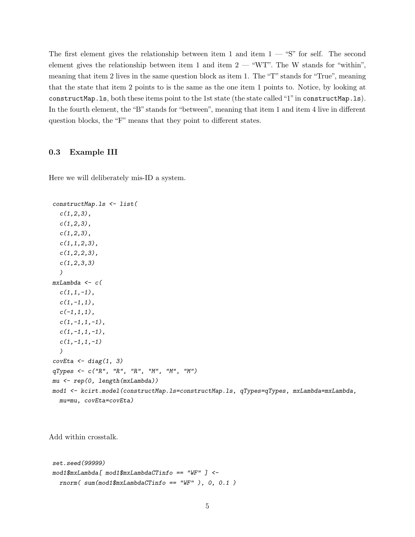The first element gives the relationship between item 1 and item  $1 -$  "S" for self. The second element gives the relationship between item 1 and item  $2-$  "WT". The W stands for "within", meaning that item 2 lives in the same question block as item 1. The "T" stands for "True", meaning that the state that item 2 points to is the same as the one item 1 points to. Notice, by looking at constructMap.ls, both these items point to the 1st state (the state called "1"in constructMap.ls). In the fourth element, the "B" stands for "between", meaning that item 1 and item 4 live in different question blocks, the "F" means that they point to different states.

#### 0.3 Example III

Here we will deliberately mis-ID a system.

```
constructMap.ls <- list(
  c(1,2,3),
  c(1,2,3),
  c(1,2,3),
  c(1,1,2,3),
  c(1,2,2,3),
  c(1,2,3,3))
mxLambda < -c (
  c(1,1,-1),
  c(1,-1,1),
  c(-1,1,1),
  c(1,-1,1,-1),
  c(1,-1,1,-1),
  c(1,-1,1,-1))
covEta \leftarrow diag(1, 3)qTypes <- c("R", "R", "R", "M", "M", "M")
mu <- rep(0, length(mxLambda))
mod1 <- kcirt.model(constructMap.ls=constructMap.ls, qTypes=qTypes, mxLambda=mxLambda,
  mu=mu, covEta=covEta)
```
Add within crosstalk.

```
set.seed(99999)
mod1$mxLambda[ mod1$mxLambdaCTinfo == "WF" ] <-
  rnorm( sum(mod 1\text{\textsterling}mxdaCTinfo == "WF" ), 0, 0.1)
```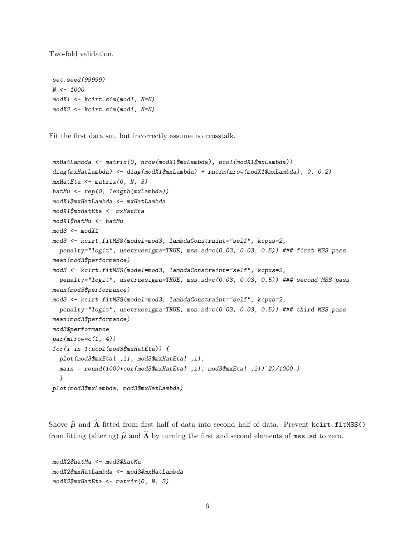Two-fold validation.

```
set.seed(99999)
N <- 1000
modX1 <- kcirt.sim(mod1, N=N)
modX2 <- kcirt.sim(mod1, N=N)
```
Fit the first data set, but incorrectly assume no crosstalk.

```
mxHatLambda <- matrix(0, nrow(modX1$mxLambda), ncol(modX1$mxLambda))
diag(mxHatLambda) <- diag(modX1$mxLambda) + rnorm(nrow(modX1$mxLambda), 0, 0.2)
mxH at Eta \leftarrow matrix(0, N, 3)hatMu \leftarrow \text{rep}(0, \text{length}(\text{mxLambda}))modX1$mxHatLambda <- mxHatLambda
modX1$mxHatEta <- mxHatEta
modX1$hatMu <- hatMu
mod3 <- modX1mod3 <- kcirt.fitMSS(model=mod3, lambdaConstraint="self", kcpus=2,
  penalty="logit", usetruesigma=TRUE, mss.sd=c(0.03, 0.03, 0.5)) ### first MSS pass
mean(mod3$performance)
mod3 <- kcirt.fitMSS(model=mod3, lambdaConstraint="self", kcpus=2,
  penalty="logit", usetruesigma=TRUE, mss.sd=c(0.03, 0.03, 0.5)) ### second MSS pass
mean(mod3$performance)
mod3 <- kcirt.fitMSS(model=mod3, lambdaConstraint="self", kcpus=2,
  penalty="logit", usetruesigma=TRUE, mss.sd=c(0.03, 0.03, 0.5)) ### third MSS pass
mean(mod3$performance)
mod3$performance
par(mfrow=c(1, 4))for(i in 1:ncol(mod3$mxHatEta)) {
  plot(mod3$mxEta[,i], mod3$mxHatEta[,i],
  main = round(1000*cor(mod3$mxHatEta[,i], mod3$mxEta[,i])^2)/1000 )
  }
plot(mod3$mxLambda, mod3$mxHatLambda)
```
Shove  $\hat{\mu}$  and  $\hat{\Lambda}$  fitted from first half of data into second half of data. Prevent kcirt.fitMSS() from fitting (altering)  $\hat{\mu}$  and  $\hat{\Lambda}$  by turning the first and second elements of mss.sd to zero.

```
modX2$hatMu <- mod3$hatMu
modX2$mxHatLambda <- mod3$mxHatLambda
modX2$mxHatEta <- matrix(0, N, 3)
```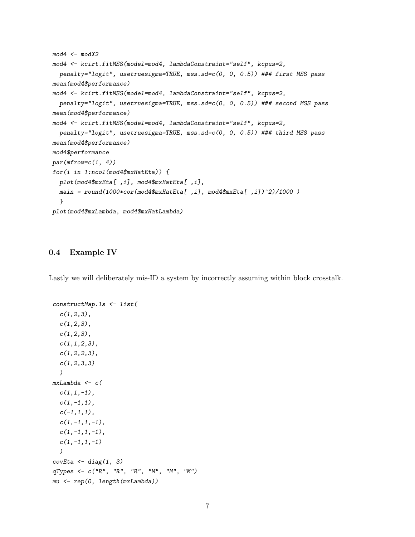```
mod4 <- modX2mod4 <- kcirt.fitMSS(model=mod4, lambdaConstraint="self", kcpus=2,
  penalty="logit", usetruesigma=TRUE, mss.sd=c(0, 0, 0.5)) ### first MSS pass
mean(mod4$performance)
mod4 <- kcirt.fitMSS(model=mod4, lambdaConstraint="self", kcpus=2,
  penalty="logit", usetruesigma=TRUE, mss.sd=c(0, 0, 0.5)) ### second MSS pass
mean(mod4$performance)
mod4 <- kcirt.fitMSS(model=mod4, lambdaConstraint="self", kcpus=2,
  penalty="logit", usetruesigma=TRUE, mss.sd=c(0, 0, 0.5)) ### third MSS pass
mean(mod4$performance)
mod4$performance
par(mfrow=c(1, 4))for(i in 1:ncol(mod4$mxHatEta)) {
  plot(mod4$mxEta[,i], mod4$mxHatEta[,i],
  main = round(1000*cor(mod4$mxHatEta[, i], mod4$mxHatEta[, i])^2)/1000)
  }
plot(mod4$mxLambda, mod4$mxHatLambda)
```
## 0.4 Example IV

Lastly we will deliberately mis-ID a system by incorrectly assuming within block crosstalk.

```
constructMap.ls <- list(
  c(1,2,3),
  c(1,2,3),
  c(1,2,3),
  c(1,1,2,3),
  c(1,2,2,3),
  c(1,2,3,3))
mxLambda \leftarrow c(c(1,1,-1),
  c(1,-1,1),
  c(-1,1,1),
  c(1,-1,1,-1),
  c(1,-1,1,-1),
  c(1,-1,1,-1))
covEta <- diag(1, 3)qTypes <- c("R", "R", "R", "M", "M", "M")
mu <- rep(0, length(mxLambda))
```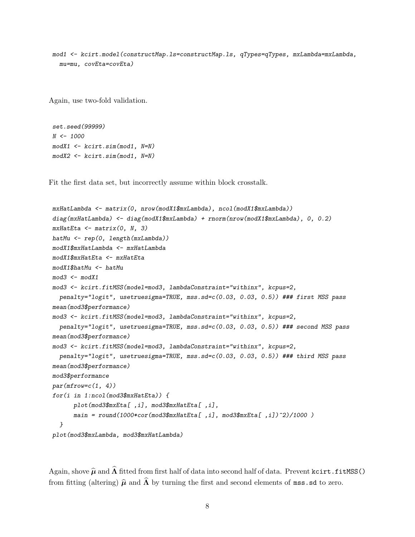mod1 <- kcirt.model(constructMap.ls=constructMap.ls, qTypes=qTypes, mxLambda=mxLambda, mu=mu, covEta=covEta)

Again, use two-fold validation.

```
set.seed(99999)
N < - 1000modX1 <- kcirt.sim(mod1, N=N)
modX2 <- kcirt.sim(mod1, N=N)
```
Fit the first data set, but incorrectly assume within block crosstalk.

```
mxHatLambda <- matrix(0, nrow(modX1$mxLambda), ncol(modX1$mxLambda))
diag(mxHatLambda) <- diag(modX1$mxLambda) + rnorm(nrow(modX1$mxLambda), 0, 0.2)
mxH at Eta \leftarrow matrix(0, N, 3)hatMu \leftarrow \text{rep}(0, \text{length}(\text{mxLambda}))modX1$mxHatLambda <- mxHatLambda
modX1$mxHatEta <- mxHatEta
modX1$hatMu <- hatMu
mod3 <- modX1mod3 <- kcirt.fitMSS(model=mod3, lambdaConstraint="withinx", kcpus=2,
  penalty="logit", usetruesigma=TRUE, mss.sd=c(0.03, 0.03, 0.5)) ### first MSS pass
mean(mod3$performance)
mod3 <- kcirt.fitMSS(model=mod3, lambdaConstraint="withinx", kcpus=2,
  penalty="logit", usetruesigma=TRUE, mss.sd=c(0.03, 0.03, 0.5)) ### second MSS pass
mean(mod3$performance)
mod3 <- kcirt.fitMSS(model=mod3, lambdaConstraint="withinx", kcpus=2,
  penalty="logit", usetruesigma=TRUE, mss.sd=c(0.03, 0.03, 0.5)) ### third MSS pass
mean(mod3$performance)
mod3$performance
par(mfrow=c(1, 4))for(i in 1:ncol(mod3$mxHatEta)) {
      plot(mod3$mxEta[,i], mod3$mxHatEta[,i],
      main = round(1000 * cor(mod 3$mxHatEta[, i], mod3$mxHatEta[, i])^2)/1000 )
  }
plot(mod3$mxLambda, mod3$mxHatLambda)
```
Again, shove  $\hat{\mu}$  and  $\hat{\Lambda}$  fitted from first half of data into second half of data. Prevent kcirt.fitMSS() from fitting (altering)  $\hat{\mu}$  and  $\hat{\Lambda}$  by turning the first and second elements of mss.sd to zero.